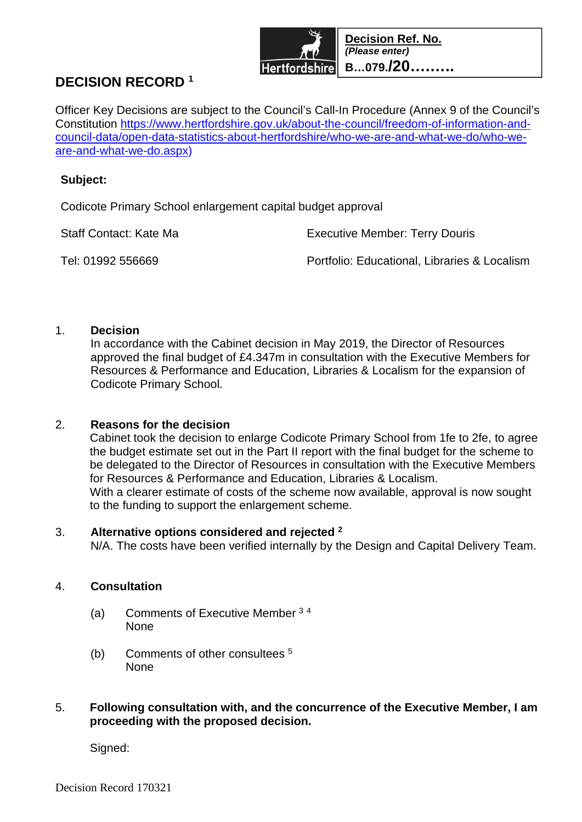

# **DECISION RECORD <sup>1</sup>**

Officer Key Decisions are subject to the Council's Call-In Procedure (Annex 9 of the Council's Constitution https://www.hertfordshire.gov.uk/about-the-council/freedom-of-information-andcouncil-data/open-data-statistics-about-hertfordshire/who-we-are-and-what-we-do/who-weare-and-what-we-do.aspx)

#### **Subject:**

Codicote Primary School enlargement capital budget approval

Staff Contact: Kate Ma Executive Member: Terry Douris

Tel: 01992 556669 Portfolio: Educational, Libraries & Localism

## 1. **Decision**

In accordance with the Cabinet decision in May 2019, the Director of Resources approved the final budget of £4.347m in consultation with the Executive Members for Resources & Performance and Education, Libraries & Localism for the expansion of Codicote Primary School.

#### 2. **Reasons for the decision**

Cabinet took the decision to enlarge Codicote Primary School from 1fe to 2fe, to agree the budget estimate set out in the Part II report with the final budget for the scheme to be delegated to the Director of Resources in consultation with the Executive Members for Resources & Performance and Education, Libraries & Localism.

With a clearer estimate of costs of the scheme now available, approval is now sought to the funding to support the enlargement scheme.

#### 3. **Alternative options considered and rejected <sup>2</sup>**

N/A. The costs have been verified internally by the Design and Capital Delivery Team.

#### 4. **Consultation**

- (a) Comments of Executive Member <sup>3</sup> <sup>4</sup> None
- (b) Comments of other consultees <sup>5</sup> None

## 5. **Following consultation with, and the concurrence of the Executive Member, I am proceeding with the proposed decision.**

Signed: